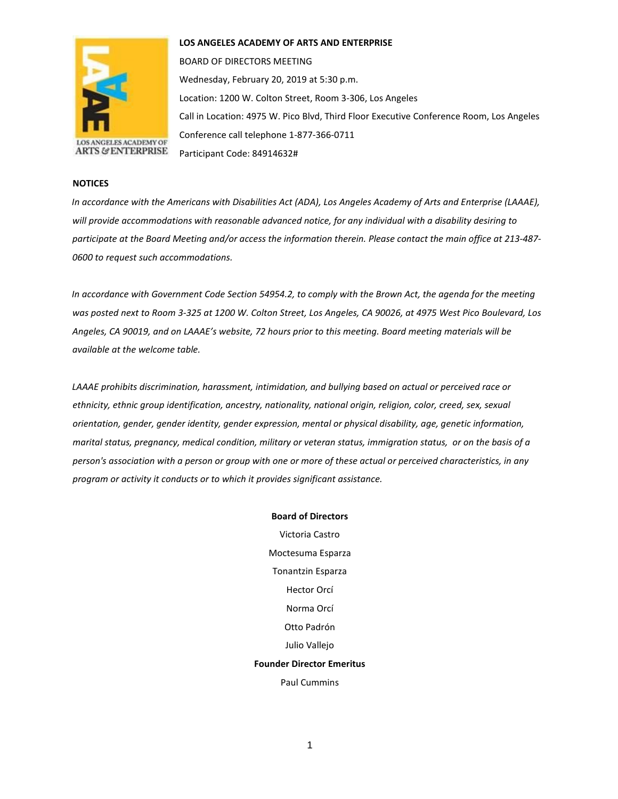

**LOS ANGELES ACADEMY OF ARTS AND ENTERPRISE** 

BOARD OF DIRECTORS MEETING Wednesday, February 20, 2019 at 5:30 p.m. Location: 1200 W. Colton Street, Room 3-306, Los Angeles Call in Location: 4975 W. Pico Blvd, Third Floor Executive Conference Room, Los Angeles Conference call telephone 1-877-366-0711 Participant Code: 84914632#

## **NOTICES**

*In accordance with the Americans with Disabilities Act (ADA), Los Angeles Academy of Arts and Enterprise (LAAAE), will provide accommodations with reasonable advanced notice, for any individual with a disability desiring to participate at the Board Meeting and/or access the information therein. Please contact the main office at 213-487- 0600 to request such accommodations.* 

*In accordance with Government Code Section 54954.2, to comply with the Brown Act, the agenda for the meeting was posted next to Room 3-325 at 1200 W. Colton Street, Los Angeles, CA 90026, at 4975 West Pico Boulevard, Los Angeles, CA 90019, and on LAAAE's website, 72 hours prior to this meeting. Board meeting materials will be available at the welcome table.* 

*LAAAE prohibits discrimination, harassment, intimidation, and bullying based on actual or perceived race or ethnicity, ethnic group identification, ancestry, nationality, national origin, religion, color, creed, sex, sexual orientation, gender, gender identity, gender expression, mental or physical disability, age, genetic information, marital status, pregnancy, medical condition, military or veteran status, immigration status, or on the basis of a person's association with a person or group with one or more of these actual or perceived characteristics, in any program or activity it conducts or to which it provides significant assistance.* 

> **Board of Directors** Victoria Castro Moctesuma Esparza Tonantzin Esparza Hector Orcí Norma Orcí Otto Padrón Julio Vallejo **Founder Director Emeritus** Paul Cummins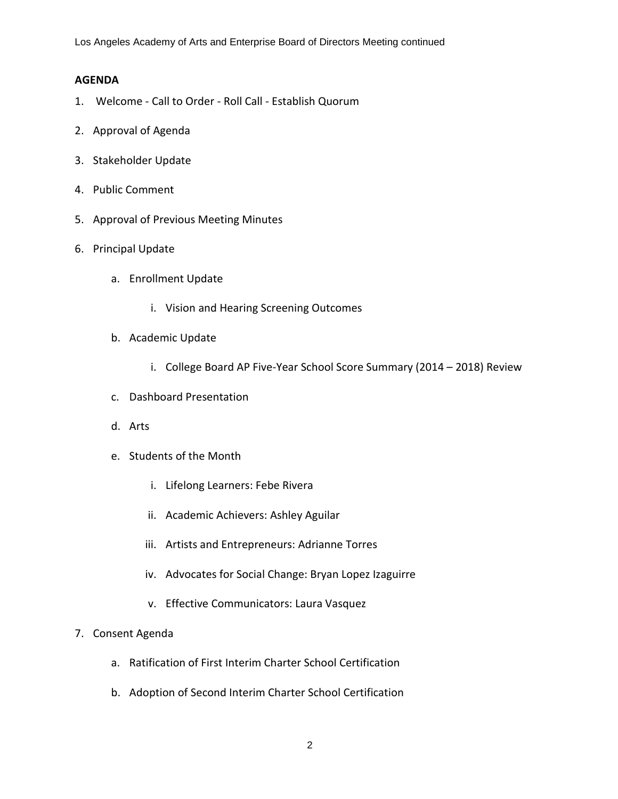Los Angeles Academy of Arts and Enterprise Board of Directors Meeting continued

## **AGENDA**

- 1. Welcome Call to Order Roll Call Establish Quorum
- 2. Approval of Agenda
- 3. Stakeholder Update
- 4. Public Comment
- 5. Approval of Previous Meeting Minutes
- 6. Principal Update
	- a. Enrollment Update
		- i. Vision and Hearing Screening Outcomes
	- b. Academic Update
		- i. College Board AP Five-Year School Score Summary (2014 2018) Review
	- c. Dashboard Presentation
	- d. Arts
	- e. Students of the Month
		- i. Lifelong Learners: Febe Rivera
		- ii. Academic Achievers: Ashley Aguilar
		- iii. Artists and Entrepreneurs: Adrianne Torres
		- iv. Advocates for Social Change: Bryan Lopez Izaguirre
		- v. Effective Communicators: Laura Vasquez
- 7. Consent Agenda
	- a. Ratification of First Interim Charter School Certification
	- b. Adoption of Second Interim Charter School Certification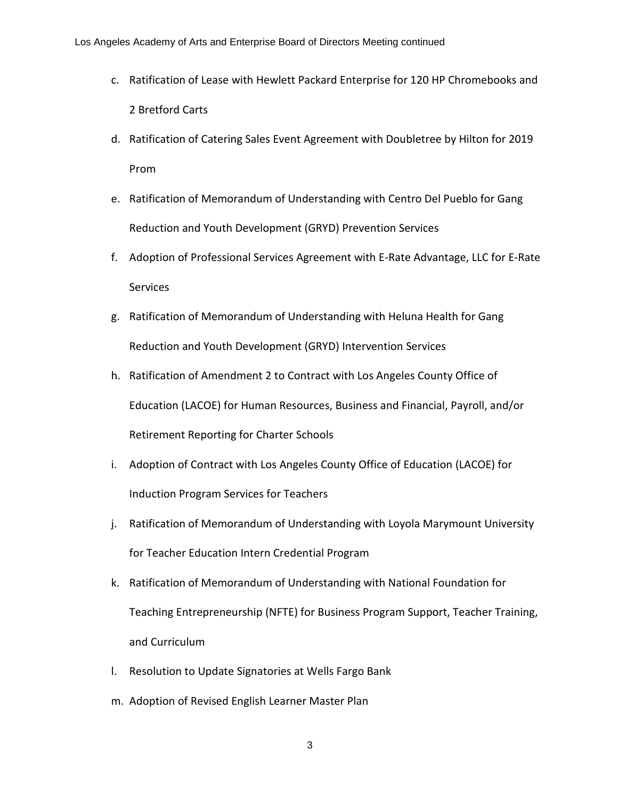- c. Ratification of Lease with Hewlett Packard Enterprise for 120 HP Chromebooks and 2 Bretford Carts
- d. Ratification of Catering Sales Event Agreement with Doubletree by Hilton for 2019 Prom
- e. Ratification of Memorandum of Understanding with Centro Del Pueblo for Gang Reduction and Youth Development (GRYD) Prevention Services
- f. Adoption of Professional Services Agreement with E-Rate Advantage, LLC for E-Rate Services
- g. Ratification of Memorandum of Understanding with Heluna Health for Gang Reduction and Youth Development (GRYD) Intervention Services
- h. Ratification of Amendment 2 to Contract with Los Angeles County Office of Education (LACOE) for Human Resources, Business and Financial, Payroll, and/or Retirement Reporting for Charter Schools
- i. Adoption of Contract with Los Angeles County Office of Education (LACOE) for Induction Program Services for Teachers
- j. Ratification of Memorandum of Understanding with Loyola Marymount University for Teacher Education Intern Credential Program
- k. Ratification of Memorandum of Understanding with National Foundation for Teaching Entrepreneurship (NFTE) for Business Program Support, Teacher Training, and Curriculum
- l. Resolution to Update Signatories at Wells Fargo Bank
- m. Adoption of Revised English Learner Master Plan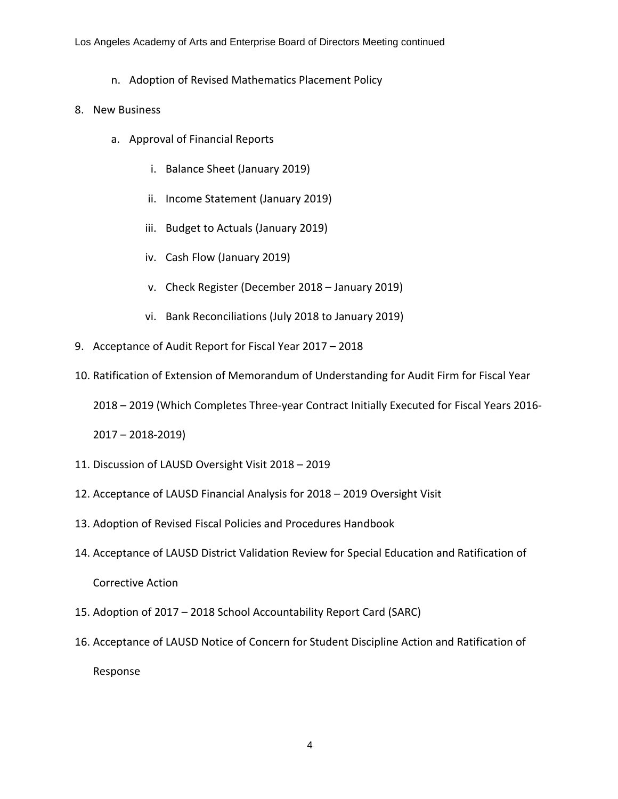- n. Adoption of Revised Mathematics Placement Policy
- 8. New Business
	- a. Approval of Financial Reports
		- i. Balance Sheet (January 2019)
		- ii. Income Statement (January 2019)
		- iii. Budget to Actuals (January 2019)
		- iv. Cash Flow (January 2019)
		- v. Check Register (December 2018 January 2019)
		- vi. Bank Reconciliations (July 2018 to January 2019)
- 9. Acceptance of Audit Report for Fiscal Year 2017 2018
- 10. Ratification of Extension of Memorandum of Understanding for Audit Firm for Fiscal Year

2018 – 2019 (Which Completes Three-year Contract Initially Executed for Fiscal Years 2016-

2017 – 2018-2019)

- 11. Discussion of LAUSD Oversight Visit 2018 2019
- 12. Acceptance of LAUSD Financial Analysis for 2018 2019 Oversight Visit
- 13. Adoption of Revised Fiscal Policies and Procedures Handbook
- 14. Acceptance of LAUSD District Validation Review for Special Education and Ratification of Corrective Action
- 15. Adoption of 2017 2018 School Accountability Report Card (SARC)
- 16. Acceptance of LAUSD Notice of Concern for Student Discipline Action and Ratification of

Response